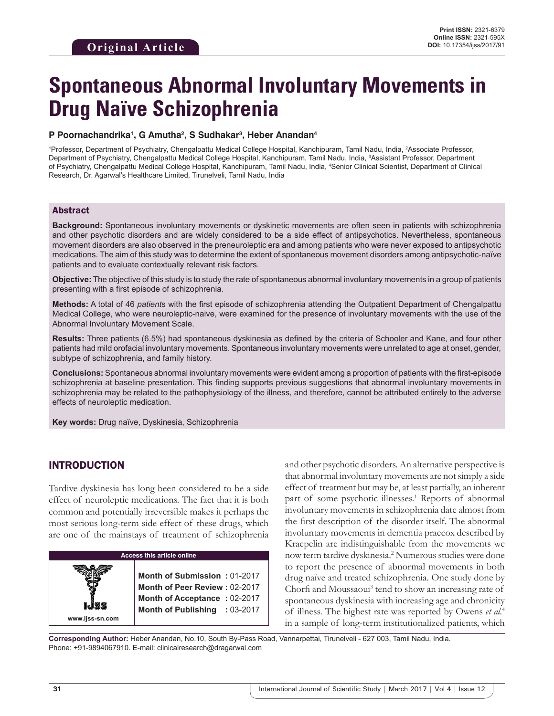# **Spontaneous Abnormal Involuntary Movements in Drug Naïve Schizophrenia**

## **P Poornachandrika1 , G Amutha2 , S Sudhakar3 , Heber Anandan4**

1 Professor, Department of Psychiatry, Chengalpattu Medical College Hospital, Kanchipuram, Tamil Nadu, India, 2 Associate Professor, Department of Psychiatry, Chengalpattu Medical College Hospital, Kanchipuram, Tamil Nadu, India, <sup>3</sup>Assistant Professor, Department of Psychiatry, Chengalpattu Medical College Hospital, Kanchipuram, Tamil Nadu, India, 4 Senior Clinical Scientist, Department of Clinical Research, Dr. Agarwal's Healthcare Limited, Tirunelveli, Tamil Nadu, India

## Abstract

**Background:** Spontaneous involuntary movements or dyskinetic movements are often seen in patients with schizophrenia and other psychotic disorders and are widely considered to be a side effect of antipsychotics. Nevertheless, spontaneous movement disorders are also observed in the preneuroleptic era and among patients who were never exposed to antipsychotic medications. The aim of this study was to determine the extent of spontaneous movement disorders among antipsychotic-naïve patients and to evaluate contextually relevant risk factors.

**Objective:** The objective of this study is to study the rate of spontaneous abnormal involuntary movements in a group of patients presenting with a first episode of schizophrenia.

**Methods:** A total of 46 *patient*s with the first episode of schizophrenia attending the Outpatient Department of Chengalpattu Medical College, who were neuroleptic-naive, were examined for the presence of involuntary movements with the use of the Abnormal Involuntary Movement Scale.

**Results:** Three patients (6.5%) had spontaneous dyskinesia as defined by the criteria of Schooler and Kane, and four other patients had mild orofacial involuntary movements. Spontaneous involuntary movements were unrelated to age at onset, gender, subtype of schizophrenia, and family history.

**Conclusions:** Spontaneous abnormal involuntary movements were evident among a proportion of patients with the first-episode schizophrenia at baseline presentation. This finding supports previous suggestions that abnormal involuntary movements in schizophrenia may be related to the pathophysiology of the illness, and therefore, cannot be attributed entirely to the adverse effects of neuroleptic medication.

**Key words:** Drug naïve, Dyskinesia, Schizophrenia

# INTRODUCTION

**www.ijss-sn.com**

Tardive dyskinesia has long been considered to be a side effect of neuroleptic medications. The fact that it is both common and potentially irreversible makes it perhaps the most serious long-term side effect of these drugs, which are one of the mainstays of treatment of schizophrenia

**Access this article online**

**Month of Submission :** 01-2017 **Month of Peer Review :** 02-2017 **Month of Acceptance :** 02-2017 **Month of Publishing :** 03-2017 and other psychotic disorders. An alternative perspective is that abnormal involuntary movements are not simply a side effect of treatment but may be, at least partially, an inherent part of some psychotic illnesses.<sup>1</sup> Reports of abnormal involuntary movements in schizophrenia date almost from the first description of the disorder itself. The abnormal involuntary movements in dementia praecox described by Kraepelin are indistinguishable from the movements we now term tardive dyskinesia.2 Numerous studies were done to report the presence of abnormal movements in both drug naïve and treated schizophrenia. One study done by Chorfi and Moussaoui<sup>3</sup> tend to show an increasing rate of spontaneous dyskinesia with increasing age and chronicity of illness. The highest rate was reported by Owens *et al.*<sup>4</sup> in a sample of long-term institutionalized patients, which

**Corresponding Author:** Heber Anandan, No.10, South By-Pass Road, Vannarpettai, Tirunelveli - 627 003, Tamil Nadu, India. Phone: +91-9894067910. E-mail: clinicalresearch@dragarwal.com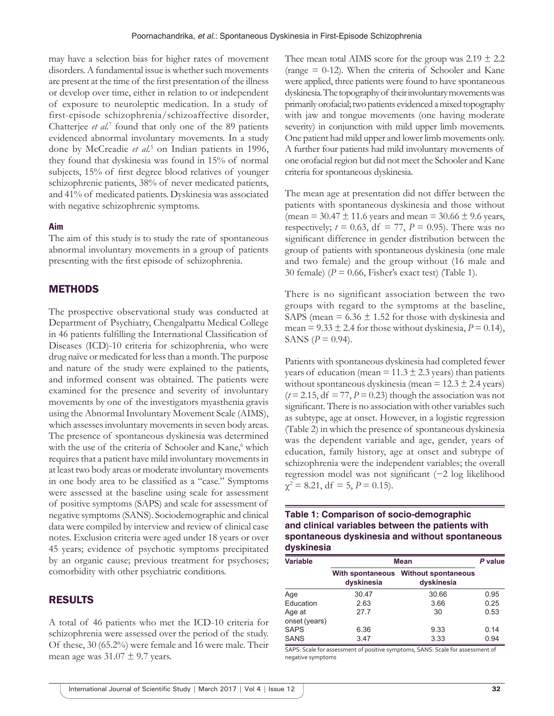may have a selection bias for higher rates of movement disorders. A fundamental issue is whether such movements are present at the time of the first presentation of the illness or develop over time, either in relation to or independent of exposure to neuroleptic medication. In a study of first-episode schizophrenia/schizoaffective disorder, Chatterjee et al.<sup>7</sup> found that only one of the 89 patients evidenced abnormal involuntary movements. In a study done by McCreadie *et al.*<sup>5</sup> on Indian patients in 1996, they found that dyskinesia was found in 15% of normal subjects, 15% of first degree blood relatives of younger schizophrenic patients, 38% of never medicated patients, and 41% of medicated patients. Dyskinesia was associated with negative schizophrenic symptoms.

## **Aim**

The aim of this study is to study the rate of spontaneous abnormal involuntary movements in a group of patients presenting with the first episode of schizophrenia.

## **METHODS**

The prospective observational study was conducted at Department of Psychiatry, Chengalpattu Medical College in 46 patients fulfilling the International Classification of Diseases (ICD)-10 criteria for schizophrenia, who were drug naïve or medicated for less than a month. The purpose and nature of the study were explained to the patients, and informed consent was obtained. The patients were examined for the presence and severity of involuntary movements by one of the investigators myasthenia gravis using the Abnormal Involuntary Movement Scale (AIMS), which assesses involuntary movements in seven body areas. The presence of spontaneous dyskinesia was determined with the use of the criteria of Schooler and Kane,<sup>6</sup> which requires that a patient have mild involuntary movements in at least two body areas or moderate involuntary movements in one body area to be classified as a "case." Symptoms were assessed at the baseline using scale for assessment of positive symptoms (SAPS) and scale for assessment of negative symptoms (SANS). Sociodemographic and clinical data were compiled by interview and review of clinical case notes. Exclusion criteria were aged under 18 years or over 45 years; evidence of psychotic symptoms precipitated by an organic cause; previous treatment for psychoses; comorbidity with other psychiatric conditions.

## RESULTS

A total of 46 patients who met the ICD-10 criteria for schizophrenia were assessed over the period of the study. Of these, 30 (65.2%) were female and 16 were male. Their mean age was  $31.07 \pm 9.7$  years.

Thee mean total AIMS score for the group was  $2.19 \pm 2.2$ (range = 0-12). When the criteria of Schooler and Kane were applied, three patients were found to have spontaneous dyskinesia. The topography of their involuntary movements was primarily orofacial; two patients evidenced a mixed topography with jaw and tongue movements (one having moderate severity) in conjunction with mild upper limb movements. One patient had mild upper and lower limb movements only. A further four patients had mild involuntary movements of one orofacial region but did not meet the Schooler and Kane criteria for spontaneous dyskinesia.

The mean age at presentation did not differ between the patients with spontaneous dyskinesia and those without (mean =  $30.47 \pm 11.6$  years and mean =  $30.66 \pm 9.6$  years, respectively;  $t = 0.63$ , df = 77,  $P = 0.95$ ). There was no significant difference in gender distribution between the group of patients with spontaneous dyskinesia (one male and two female) and the group without (16 male and 30 female)  $(P = 0.66$ , Fisher's exact test) (Table 1).

There is no significant association between the two groups with regard to the symptoms at the baseline, SAPS (mean =  $6.36 \pm 1.52$  for those with dyskinesia and mean =  $9.33 \pm 2.4$  for those without dyskinesia,  $P = 0.14$ ), SANS  $(P = 0.94)$ .

Patients with spontaneous dyskinesia had completed fewer years of education (mean =  $11.3 \pm 2.3$  years) than patients without spontaneous dyskinesia (mean  $= 12.3 \pm 2.4$  years)  $(t=2.15, df = 77, P = 0.23)$  though the association was not significant. There is no association with other variables such as subtype, age at onset. However, in a logistic regression (Table 2) in which the presence of spontaneous dyskinesia was the dependent variable and age, gender, years of education, family history, age at onset and subtype of schizophrenia were the independent variables; the overall regression model was not significant (−2 log likelihood  $\chi^2 = 8.21$ , df = 5,  $P = 0.15$ ).

**Table 1: Comparison of socio‑demographic and clinical variables between the patients with spontaneous dyskinesia and without spontaneous dyskinesia**

| <b>Variable</b>         | <b>Mean</b> | P value                                            |      |
|-------------------------|-------------|----------------------------------------------------|------|
|                         | dyskinesia  | With spontaneous Without spontaneous<br>dyskinesia |      |
| Age                     | 30.47       | 30.66                                              | 0.95 |
| Education               | 2.63        | 3.66                                               | 0.25 |
| Age at<br>onset (years) | 27.7        | 30                                                 | 0.53 |
| <b>SAPS</b>             | 6.36        | 9.33                                               | 0.14 |
| <b>SANS</b>             | 3.47        | 3.33                                               | 0.94 |

SAPS: Scale for assessment of positive symptoms, SANS: Scale for assessment of negative symptoms